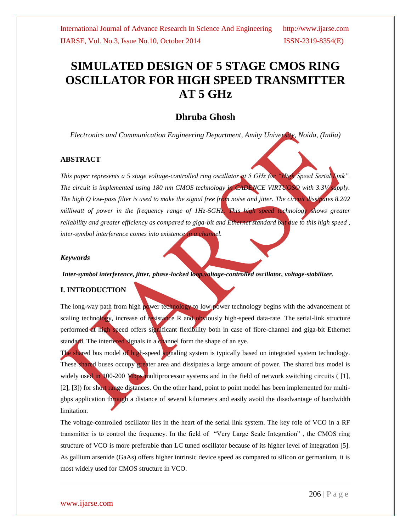# **SIMULATED DESIGN OF 5 STAGE CMOS RING OSCILLATOR FOR HIGH SPEED TRANSMITTER AT 5 GHz**

### **Dhruba Ghosh**

*Electronics and Communication Engineering Department, Amity University, Noida, (India)*

#### **ABSTRACT**

*This paper represents a 5 stage voltage-controlled ring oscillator at 5 GHz for "High Speed Serial Link". The circuit is implemented using 180 nm CMOS technology in CADENCE VIRTUOSO with 3.3V supply. The high Q low-pass filter is used to make the signal free from noise and jitter. The circuit dissipates 8.202 milliwatt of power in the frequency range of 1Hz-5GHz. This high speed technology shows greater reliability and greater efficiency as compared to giga-bit and Ethernet standard but due to this high speed, inter-symbol interference comes into existence in a channel.* 

#### *Keywords*

*Inter-symbol interference, jitter, phase-locked loop,voltage-controlled oscillator, voltage-stabilizer.*

#### **I. INTRODUCTION**

The long-way path from high power technology to low-power technology begins with the advancement of scaling technology, increase of resistance R and obviously high-speed data-rate. The serial-link structure performed at high speed offers significant flexibility both in case of fibre-channel and giga-bit Ethernet standard. The interfered signals in a channel form the shape of an eye.

The shared bus model of high-speed signaling system is typically based on integrated system technology. These shared buses occupy greater area and dissipates a large amount of power. The shared bus model is widely used in 100-200 Mbps multiprocessor systems and in the field of network switching circuits ([1], [2], [3]) for short range distances. On the other hand, point to point model has been implemented for multigbps application through a distance of several kilometers and easily avoid the disadvantage of bandwidth limitation.

The voltage-controlled oscillator lies in the heart of the serial link system. The key role of VCO in a RF transmitter is to control the frequency. In the field of "Very Large Scale Integration" , the CMOS ring structure of VCO is more preferable than LC tuned oscillator because of its higher level of integration [5]. As gallium arsenide (GaAs) offers higher intrinsic device speed as compared to silicon or germanium, it is most widely used for CMOS structure in VCO.

#### www.ijarse.com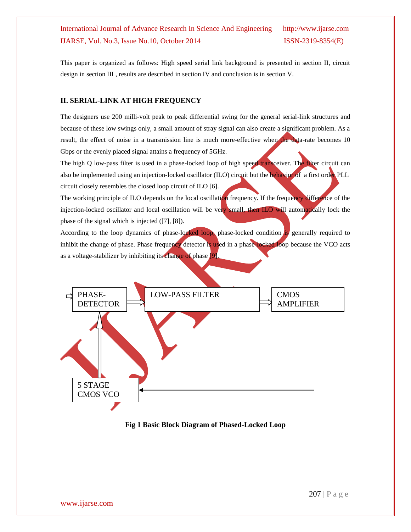This paper is organized as follows: High speed serial link background is presented in section II, circuit design in section III , results are described in section IV and conclusion is in section V.

#### **II. SERIAL-LINK AT HIGH FREQUENCY**

The designers use 200 milli-volt peak to peak differential swing for the general serial-link structures and because of these low swings only, a small amount of stray signal can also create a significant problem. As a result, the effect of noise in a transmission line is much more-effective when the data-rate becomes 10 Gbps or the evenly placed signal attains a frequency of 5GHz.

The high Q low-pass filter is used in a phase-locked loop of high speed transceiver. The filter circuit can also be implemented using an injection-locked oscillator (ILO) circuit but the behavior of a first order PLL circuit closely resembles the closed loop circuit of ILO [6].

The working principle of ILO depends on the local oscillation frequency. If the frequency difference of the injection-locked oscillator and local oscillation will be very small, then ILO will automatically lock the phase of the signal which is injected ([7], [8]).

According to the loop dynamics of phase-locked loop, phase-locked condition is generally required to inhibit the change of phase. Phase frequency detector is used in a phase-locked loop because the VCO acts as a voltage-stabilizer by inhibiting its change of phase [9].



#### **Fig 1 Basic Block Diagram of Phased-Locked Loop**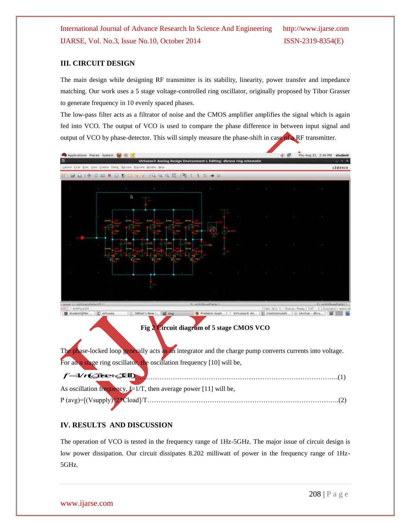#### **III. CIRCUIT DESIGN**

The main design while designing RF transmitter is its stability, linearity, power transfer and impedance matching. Our work uses a 5 stage voltage-controlled ring oscillator, originally proposed by Tibor Grasser to generate frequency in 10 evenly spaced phases.

The low-pass filter acts as a filtrator of noise and the CMOS amplifier amplifies the signal which is again fed into VCO. The output of VCO is used to compare the phase difference in between input signal and output of VCO by phase-detector. This will simply measure the phase-shift in case of a RF transmitter.



| $f = V$ r $($ fise $+$ $\leq$ fall |                                                                      |
|------------------------------------|----------------------------------------------------------------------|
|                                    | As oscillation frequency, $f=1/T$ , then average power [11] will be, |
|                                    |                                                                      |

#### **IV. RESULTS AND DISCUSSION**

The operation of VCO is tested in the frequency range of 1Hz-5GHz. The major issue of circuit design is low power dissipation. Our circuit dissipates 8.202 milliwatt of power in the frequency range of 1Hz-5GHz.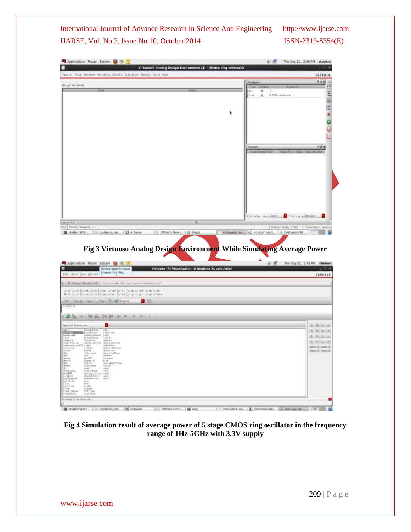|                                                                                                                                                                                                                                                   | Spain Sety Sulper bridder Directs Soulston Smits Solk this                                                    |                                                                                                           |                                |                                                                   | cadence                                                                                                                                                                                                                |
|---------------------------------------------------------------------------------------------------------------------------------------------------------------------------------------------------------------------------------------------------|---------------------------------------------------------------------------------------------------------------|-----------------------------------------------------------------------------------------------------------|--------------------------------|-------------------------------------------------------------------|------------------------------------------------------------------------------------------------------------------------------------------------------------------------------------------------------------------------|
| Design Vorzahles                                                                                                                                                                                                                                  |                                                                                                               |                                                                                                           | <b><i><u>Floatunes</u></i></b> |                                                                   | 7点 8                                                                                                                                                                                                                   |
|                                                                                                                                                                                                                                                   |                                                                                                               |                                                                                                           | œ                              | <b>JUNITERHAM</b><br>$\begin{array}{c c} \hline \end{array}$<br>× | ë                                                                                                                                                                                                                      |
|                                                                                                                                                                                                                                                   |                                                                                                               |                                                                                                           | tran                           | 0 500 noterate<br>兰                                               |                                                                                                                                                                                                                        |
|                                                                                                                                                                                                                                                   |                                                                                                               |                                                                                                           |                                |                                                                   |                                                                                                                                                                                                                        |
|                                                                                                                                                                                                                                                   |                                                                                                               |                                                                                                           |                                |                                                                   | $x + 1$                                                                                                                                                                                                                |
|                                                                                                                                                                                                                                                   |                                                                                                               |                                                                                                           |                                |                                                                   |                                                                                                                                                                                                                        |
|                                                                                                                                                                                                                                                   |                                                                                                               |                                                                                                           |                                |                                                                   |                                                                                                                                                                                                                        |
|                                                                                                                                                                                                                                                   |                                                                                                               |                                                                                                           |                                |                                                                   |                                                                                                                                                                                                                        |
|                                                                                                                                                                                                                                                   |                                                                                                               |                                                                                                           |                                |                                                                   |                                                                                                                                                                                                                        |
|                                                                                                                                                                                                                                                   |                                                                                                               |                                                                                                           |                                |                                                                   |                                                                                                                                                                                                                        |
|                                                                                                                                                                                                                                                   |                                                                                                               |                                                                                                           | <b>Dutzutz</b>                 |                                                                   | 上がり                                                                                                                                                                                                                    |
|                                                                                                                                                                                                                                                   |                                                                                                               |                                                                                                           |                                |                                                                   |                                                                                                                                                                                                                        |
|                                                                                                                                                                                                                                                   |                                                                                                               |                                                                                                           |                                |                                                                   |                                                                                                                                                                                                                        |
|                                                                                                                                                                                                                                                   |                                                                                                               |                                                                                                           |                                |                                                                   |                                                                                                                                                                                                                        |
|                                                                                                                                                                                                                                                   |                                                                                                               |                                                                                                           |                                |                                                                   |                                                                                                                                                                                                                        |
|                                                                                                                                                                                                                                                   |                                                                                                               |                                                                                                           |                                |                                                                   |                                                                                                                                                                                                                        |
|                                                                                                                                                                                                                                                   |                                                                                                               |                                                                                                           |                                |                                                                   |                                                                                                                                                                                                                        |
|                                                                                                                                                                                                                                                   |                                                                                                               |                                                                                                           |                                |                                                                   |                                                                                                                                                                                                                        |
|                                                                                                                                                                                                                                                   |                                                                                                               |                                                                                                           |                                |                                                                   |                                                                                                                                                                                                                        |
|                                                                                                                                                                                                                                                   |                                                                                                               |                                                                                                           |                                |                                                                   |                                                                                                                                                                                                                        |
|                                                                                                                                                                                                                                                   |                                                                                                               |                                                                                                           |                                | Firm after similated                                              | Floreing and the late                                                                                                                                                                                                  |
|                                                                                                                                                                                                                                                   |                                                                                                               |                                                                                                           |                                |                                                                   |                                                                                                                                                                                                                        |
|                                                                                                                                                                                                                                                   |                                                                                                               | Ħ:                                                                                                        |                                |                                                                   |                                                                                                                                                                                                                        |
|                                                                                                                                                                                                                                                   | [C] virtuoso<br>Lilla (cadence ms                                                                             | [C] [What's New L., [15 [ring]<br>Fig 3 Virtuoso Analog Design Environment While Simulating Average Power |                                | Virtuoxe # An [C] modusmulati [ Wirtuose (R)                      |                                                                                                                                                                                                                        |
|                                                                                                                                                                                                                                                   |                                                                                                               |                                                                                                           |                                |                                                                   |                                                                                                                                                                                                                        |
|                                                                                                                                                                                                                                                   | Firefox Web Browser<br>Browse the Web                                                                         | Virtuoso (R) Visualization & Analysis XL calculator                                                       |                                |                                                                   |                                                                                                                                                                                                                        |
|                                                                                                                                                                                                                                                   | . Dr Cietast Results Illian Work/structation/ring/reactiva/spheration/per                                     |                                                                                                           |                                |                                                                   |                                                                                                                                                                                                                        |
|                                                                                                                                                                                                                                                   | くうじょうじ mb   circ   circ に in   circ   circ   circ と in と in circ の in の in line の in line の in line の in line |                                                                                                           |                                |                                                                   |                                                                                                                                                                                                                        |
|                                                                                                                                                                                                                                                   | <b>DIEL</b>                                                                                                   |                                                                                                           |                                |                                                                   |                                                                                                                                                                                                                        |
|                                                                                                                                                                                                                                                   |                                                                                                               |                                                                                                           |                                |                                                                   |                                                                                                                                                                                                                        |
|                                                                                                                                                                                                                                                   | · コン ~ U 自 IM W IM K I F ILL                                                                                  |                                                                                                           |                                |                                                                   |                                                                                                                                                                                                                        |
| gassilvP/oo<br><b>CONTRACTOR</b>                                                                                                                                                                                                                  | <b>LAURESTAN</b>                                                                                              |                                                                                                           |                                |                                                                   |                                                                                                                                                                                                                        |
| $ $ mass LE<br>2181 Doctor Producer.<br>student@Ter<br>Applications Praces System of E<br>Elle Josla Vise Diturn<br>199 - Family - when I Like On all revent<br>$-8.708 - 8$<br>Destrial Forchises<br><b>Burnhalt</b><br>petites Likeve<br>141.44 | neurs                                                                                                         |                                                                                                           |                                |                                                                   |                                                                                                                                                                                                                        |
| gringdie ima<br>Formation<br><b>Linderbrid</b><br>hte westernes                                                                                                                                                                                   | best-2h                                                                                                       |                                                                                                           |                                |                                                                   |                                                                                                                                                                                                                        |
| 1.115mg                                                                                                                                                                                                                                           | sett LingTrae<br>sizuliste<br>semi ralPraer<br>ispetrof, muss                                                 |                                                                                                           |                                |                                                                   |                                                                                                                                                                                                                        |
| <b>Understand</b>                                                                                                                                                                                                                                 | week nudhee<br>stables.                                                                                       |                                                                                                           |                                |                                                                   |                                                                                                                                                                                                                        |
| ien<br>ienet<br>insbull                                                                                                                                                                                                                           | targaint.<br>Uni<br>init-Gauthee                                                                              |                                                                                                           |                                |                                                                   |                                                                                                                                                                                                                        |
| Primermanice: Tehrine<br>InnermaniceWEET Prints<br>interest Live<br>press<br>Limite.                                                                                                                                                              | inklass.<br>OH                                                                                                |                                                                                                           |                                |                                                                   |                                                                                                                                                                                                                        |
| paneli<br>menis Tofficiali                                                                                                                                                                                                                        | 0.8125                                                                                                        |                                                                                                           |                                |                                                                   |                                                                                                                                                                                                                        |
| inclass<br> HPS <br> FUH <br> HLGCCD <br>rerpod_phter.cml<br>efworterpin user<br>phaseMoze<br><b>Jistin</b>                                                                                                                                       | $+815$                                                                                                        |                                                                                                           |                                |                                                                   | BLAUGE RENEW   THE C   SENIMATE NHOUSE<br>Q M Thu Aug 21, 2:46 PM student<br>cadence<br>and and starting<br><b><i>RELATION CALL</i></b><br>MATHAI MATHIA<br><b>ALLACIACION</b><br>(entrold laste 2)<br>ARRELIN MIRRIAL |
| sodati<br>sodati<br>sodation<br>falls<br>flasting<br>eso<br>esda<br>Print.<br>pabada<br>Freq. unter<br>sufilter                                                                                                                                   |                                                                                                               |                                                                                                           |                                |                                                                   |                                                                                                                                                                                                                        |

**Fig 4 Simulation result of average power of 5 stage CMOS ring oscillator in the frequency range of 1Hz-5GHz with 3.3V supply**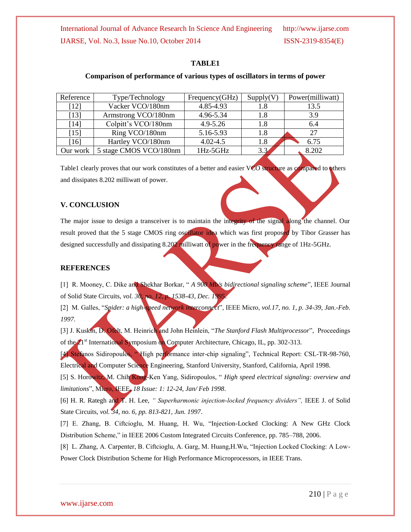#### **TABLE1**

#### **Comparison of performance of various types of oscillators in terms of power**

| Reference | Type/Technology        | Frequency(GHz) | Supply(V) | Power(milliwatt) |
|-----------|------------------------|----------------|-----------|------------------|
| $[12]$    | Vacker VCO/180nm       | 4.85-4.93      | 1.8       | 13.5             |
| [13]      | Armstrong VCO/180nm    | 4.96-5.34      | 1.8       | 3.9              |
| [14]      | Colpitt's VCO/180nm    | $4.9 - 5.26$   | 1.8       | 6.4              |
| [15]      | Ring VCO/180nm         | 5.16-5.93      | 1.8       | 27               |
| [16]      | Hartley VCO/180nm      | $4.02 - 4.5$   | 1.8       | 6.75             |
| Our work  | 5 stage CMOS VCO/180nm | 1Hz-5GHz       | 3.3       | 8.202            |

Table1 clearly proves that our work constitutes of a better and easier VCO structure as compared to others and dissipates 8.202 milliwatt of power.

#### **V. CONCLUSION**

The major issue to design a transceiver is to maintain the integrity of the signal along the channel. Our result proved that the 5 stage CMOS ring oscillator idea which was first proposed by Tibor Grasser has designed successfully and dissipating 8.202 milliwatt of power in the frequency range of 1Hz-5GHz.

#### **REFERENCES**

[1] R. Mooney, C. Dike and Shekhar Borkar, " *A 900 Mb/s bidirectional signaling scheme*", IEEE Journal of Solid State Circuits, *vol. 30, no. 12, p. 1538-43, Dec. 1995*.

[2] M. Galles, "*Spider: a high-speed network interconnect*", IEEE Micro, *vol.17, no. 1, p. 34-39, Jan.-Feb. 1997.*

[3] J. Kuskin, D. Ofelt, M. Heinrich and John Heinlein, "*The Stanford Flash Multiprocessor*", Proceedings of the  $21^{st}$  International Symposium on Computer Architecture, Chicago, IL, pp. 302-313.

[4] Stefanos Sidiropoulos, " High performance inter-chip signaling", Technical Report: CSL-TR-98-760, Electrical and Computer Science Engineering, Stanford University, Stanford, California, April 1998.

[5] S. Horowitz, M. Chih Kong-Ken Yang, Sidiropoulos, " *High speed electrical signaling: overview and limitations*", Micro, IEEE, *18 Issue: 1: 12-24, Jan/ Feb 1998*.

[6] H. R. Rategh and T. H. Lee, *" Superharmonic injection-locked frequency dividers",* IEEE J. of Solid State Circuits, *vol. 34, no. 6, pp. 813-821, Jun. 1997*.

[7] E. Zhang, B. Ciftcioglu, M. Huang, H. Wu, "Injection-Locked Clocking: A New GHz Clock Distribution Scheme," in IEEE 2006 Custom Integrated Circuits Conference, pp. 785–788, 2006.

[8] L. Zhang, A. Carpenter, B. Ciftcioglu, A. Garg, M. Huang,H.Wu, "Injection Locked Clocking: A Low-Power Clock Distribution Scheme for High Performance Microprocessors, in IEEE Trans.